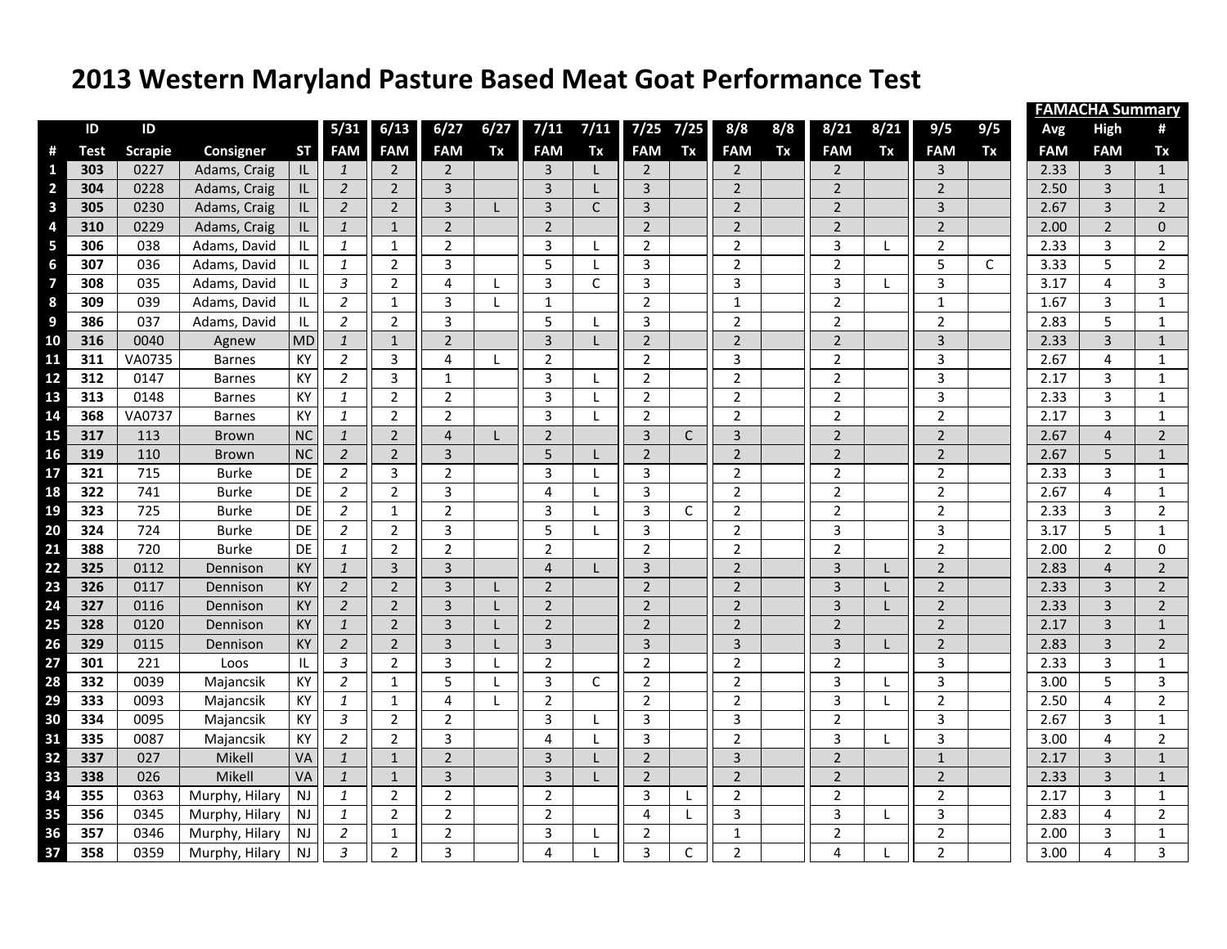## **2013 Western Maryland Pasture Based Meat Goat Performance Test**

|                         |      |                |                  |           |                |                |                |              |                |              |                |              |                |     |                |              |                |     | <b>FAMACHA Summary</b> |                |                |  |  |  |
|-------------------------|------|----------------|------------------|-----------|----------------|----------------|----------------|--------------|----------------|--------------|----------------|--------------|----------------|-----|----------------|--------------|----------------|-----|------------------------|----------------|----------------|--|--|--|
|                         | ID   | ID             |                  |           | 5/31           | 6/13           | 6/27           | 6/27         | 7/11           | 7/11         | 7/25           | 7/25         | 8/8            | 8/8 | 8/21           | 8/21         | 9/5            | 9/5 | Avg                    | <b>High</b>    | #              |  |  |  |
| #                       | Test | <b>Scrapie</b> | <b>Consigner</b> | <b>ST</b> | <b>FAM</b>     | <b>FAM</b>     | <b>FAM</b>     | Tx           | <b>FAM</b>     | Tx           | <b>FAM</b>     | Tx           | <b>FAM</b>     | Tx  | <b>FAM</b>     | Tx           | <b>FAM</b>     | Tx  | <b>FAM</b>             | <b>FAM</b>     | Tx             |  |  |  |
| 1                       | 303  | 0227           | Adams, Craig     | IL        | $\mathbf{1}$   | $\overline{2}$ | $\overline{2}$ |              | 3              | L            | $\overline{2}$ |              | $\overline{2}$ |     | $\overline{2}$ |              | $\overline{3}$ |     | 2.33                   | 3              | $\mathbf{1}$   |  |  |  |
| $\overline{\mathbf{c}}$ | 304  | 0228           | Adams, Craig     | IL        | $\overline{2}$ | $\overline{2}$ | 3              |              | $\overline{3}$ | L            | $\mathbf{3}$   |              | $\overline{2}$ |     | $\overline{2}$ |              | $\overline{2}$ |     | 2.50                   | 3              | $\mathbf{1}$   |  |  |  |
| $\overline{\mathbf{3}}$ | 305  | 0230           | Adams, Craig     | IL.       | $\overline{2}$ | $\overline{2}$ | $\overline{3}$ |              | $\overline{3}$ | $\mathsf C$  | 3              |              | $\overline{2}$ |     | $\overline{2}$ |              | $\overline{3}$ |     | 2.67                   | $\overline{3}$ | $\overline{2}$ |  |  |  |
| $\overline{\mathbf{a}}$ | 310  | 0229           | Adams, Craig     | IL.       | $\mathbf{1}$   | $\mathbf{1}$   | $\overline{2}$ |              | $\overline{2}$ |              | $\overline{2}$ |              | $\overline{2}$ |     | $\overline{2}$ |              | $\overline{2}$ |     | 2.00                   | $\overline{2}$ | $\mathbf 0$    |  |  |  |
| 5                       | 306  | 038            | Adams, David     | IL        | $\mathbf{1}$   | $\mathbf{1}$   | $\overline{2}$ |              | 3              | L            | $\overline{2}$ |              | $\overline{2}$ |     | 3              | L            | $\overline{2}$ |     | 2.33                   | 3              | $\overline{2}$ |  |  |  |
| $\boldsymbol{6}$        | 307  | 036            | Adams, David     | IL        | $\mathbf{1}$   | $\overline{2}$ | 3              |              | 5              | L            | 3              |              | $\overline{2}$ |     | $\overline{2}$ |              | 5              | C   | 3.33                   | 5              | $\overline{2}$ |  |  |  |
| $\overline{\mathbf{z}}$ | 308  | 035            | Adams, David     | IL        | $\mathfrak{Z}$ | $\overline{2}$ | 4              | L            | 3              | $\mathsf C$  | 3              |              | 3              |     | 3              | L            | $\overline{3}$ |     | 3.17                   | $\overline{4}$ | $\overline{3}$ |  |  |  |
| 8                       | 309  | 039            | Adams, David     | IL        | $\overline{2}$ | $\mathbf{1}$   | 3              | Τ.           | $\mathbf{1}$   |              | $\overline{2}$ |              | $\mathbf{1}$   |     | $\overline{2}$ |              | $\mathbf{1}$   |     | 1.67                   | 3              | $\mathbf{1}$   |  |  |  |
| 9                       | 386  | 037            | Adams, David     | IL        | 2              | $\overline{2}$ | 3              |              | 5              | L            | 3              |              | $\overline{2}$ |     | $\overline{2}$ |              | $\overline{2}$ |     | 2.83                   | 5              | $\mathbf{1}$   |  |  |  |
| 10                      | 316  | 0040           | Agnew            | <b>MD</b> | $\mathbf{1}$   | $\mathbf{1}$   | $\overline{2}$ |              | $\overline{3}$ | L            | $\overline{2}$ |              | $\overline{2}$ |     | $\overline{2}$ |              | 3              |     | 2.33                   | $\overline{3}$ | $\,1\,$        |  |  |  |
| 11                      | 311  | VA0735         | <b>Barnes</b>    | KY        | $\overline{2}$ | 3              | 4              | L            | $\overline{2}$ |              | $\overline{2}$ |              | 3              |     | $\overline{2}$ |              | 3              |     | 2.67                   | 4              | $\mathbf{1}$   |  |  |  |
| 12                      | 312  | 0147           | <b>Barnes</b>    | KY        | $\overline{2}$ | $\overline{3}$ | $\mathbf{1}$   |              | 3              | L            | $\overline{2}$ |              | $\overline{2}$ |     | $\overline{2}$ |              | $\overline{3}$ |     | 2.17                   | 3              | $\mathbf{1}$   |  |  |  |
| 13                      | 313  | 0148           | <b>Barnes</b>    | KY        | $\mathbf{1}$   | $\overline{2}$ | $\overline{2}$ |              | 3              | L            | $\overline{2}$ |              | $\overline{2}$ |     | $\overline{2}$ |              | 3              |     | 2.33                   | 3              | $\mathbf{1}$   |  |  |  |
| 14                      | 368  | VA0737         | <b>Barnes</b>    | KY        | $\mathbf{1}$   | $\overline{2}$ | $\overline{2}$ |              | 3              | L            | $\overline{2}$ |              | $\overline{2}$ |     | $\overline{2}$ |              | $\overline{2}$ |     | 2.17                   | 3              | $\mathbf{1}$   |  |  |  |
| 15                      | 317  | 113            | <b>Brown</b>     | <b>NC</b> | $\mathbf{1}$   | $\overline{2}$ | $\overline{4}$ |              | $\overline{2}$ |              | 3              | $\mathsf{C}$ | $\overline{3}$ |     | $\overline{2}$ |              | $\overline{2}$ |     | 2.67                   | $\overline{A}$ | $\overline{2}$ |  |  |  |
| 16                      | 319  | 110            | <b>Brown</b>     | <b>NC</b> | $\overline{2}$ | $\overline{2}$ | $\overline{3}$ |              | 5              | L            | $\overline{2}$ |              | $\overline{2}$ |     | $\overline{2}$ |              | $\overline{2}$ |     | 2.67                   | 5              | $\mathbf 1$    |  |  |  |
| 17                      | 321  | 715            | <b>Burke</b>     | DE        | $\overline{2}$ | 3              | $\overline{2}$ |              | 3              | L            | 3              |              | $\overline{2}$ |     | $\overline{2}$ |              | $\overline{2}$ |     | 2.33                   | 3              | $\mathbf 1$    |  |  |  |
| 18                      | 322  | 741            | <b>Burke</b>     | DE        | $\overline{2}$ | $\overline{2}$ | 3              |              | 4              | L            | 3              |              | $\overline{2}$ |     | 2              |              | $\overline{2}$ |     | 2.67                   | 4              | $\mathbf{1}$   |  |  |  |
| 19                      | 323  | 725            | <b>Burke</b>     | DE        | $\overline{2}$ | $\mathbf{1}$   | $\overline{2}$ |              | 3              | L            | 3              | C            | $\overline{2}$ |     | $\overline{2}$ |              | $\overline{2}$ |     | 2.33                   | 3              | $\overline{2}$ |  |  |  |
| 20                      | 324  | 724            | <b>Burke</b>     | DE        | $\overline{2}$ | $\overline{2}$ | 3              |              | 5              | $\mathbf{L}$ | 3              |              | $\overline{2}$ |     | 3              |              | 3              |     | 3.17                   | 5              | $\mathbf{1}$   |  |  |  |
| 21                      | 388  | 720            | <b>Burke</b>     | DE        | $\mathbf{1}$   | $\overline{2}$ | $\overline{2}$ |              | $\overline{2}$ |              | $\overline{2}$ |              | $\overline{2}$ |     | $\overline{2}$ |              | $\overline{2}$ |     | 2.00                   | $\overline{2}$ | $\pmb{0}$      |  |  |  |
| 22                      | 325  | 0112           | Dennison         | KY        | $\mathbf{1}$   | 3              | 3              |              | $\overline{4}$ | L            | 3              |              | $\overline{2}$ |     | 3              | L            | $\overline{2}$ |     | 2.83                   | $\overline{4}$ | $\mathbf 2$    |  |  |  |
| 23                      | 326  | 0117           | Dennison         | KY        | $\overline{2}$ | $\overline{2}$ | 3              |              | $\overline{2}$ |              | $\overline{2}$ |              | $\overline{2}$ |     | 3              | L            | $\overline{2}$ |     | 2.33                   | 3              | $\overline{2}$ |  |  |  |
| 24                      | 327  | 0116           | Dennison         | KY        | $\overline{2}$ | $\overline{2}$ | 3              |              | $\overline{2}$ |              | $\overline{2}$ |              | $\overline{2}$ |     | 3              | $\mathbf{L}$ | $\overline{2}$ |     | 2.33                   | $\overline{3}$ | $\overline{2}$ |  |  |  |
| 25                      | 328  | 0120           | Dennison         | KY        | $\mathbf{1}$   | $\overline{2}$ | 3              |              | $\overline{2}$ |              | $\overline{2}$ |              | $\overline{2}$ |     | $\overline{2}$ |              | $\overline{2}$ |     | 2.17                   | 3              | $\mathbf{1}$   |  |  |  |
| 26                      | 329  | 0115           | Dennison         | KY        | $\overline{2}$ | $\overline{2}$ | $\overline{3}$ |              | 3              |              | 3              |              | 3              |     | $\overline{3}$ | L            | $\overline{2}$ |     | 2.83                   | 3              | $\overline{2}$ |  |  |  |
| 27                      | 301  | 221            | Loos             | IL        | 3              | $\overline{2}$ | 3              | $\mathsf{L}$ | $\overline{2}$ |              | $\overline{2}$ |              | $\overline{2}$ |     | $\overline{2}$ |              | 3              |     | 2.33                   | 3              | $\mathbf{1}$   |  |  |  |
| 28                      | 332  | 0039           | Majancsik        | KY        | $\overline{2}$ | $\mathbf{1}$   | 5              | L            | 3              | $\mathsf{C}$ | $\overline{2}$ |              | $\overline{2}$ |     | 3              | L            | $\mathbf{3}$   |     | 3.00                   | 5              | 3              |  |  |  |
| 29                      | 333  | 0093           | Majancsik        | KY        | $\mathbf{1}$   | $\mathbf{1}$   | 4              | $\mathsf{L}$ | $\overline{2}$ |              | $\overline{2}$ |              | $\overline{2}$ |     | 3              | $\mathsf{L}$ | $\overline{2}$ |     | 2.50                   | $\overline{4}$ | $\overline{2}$ |  |  |  |
| 30                      | 334  | 0095           | Majancsik        | KY        | 3              | $\overline{2}$ | $\overline{2}$ |              | 3              | L            | 3              |              | 3              |     | $\overline{2}$ |              | $\mathbf{3}$   |     | 2.67                   | 3              | $\mathbf{1}$   |  |  |  |
| 31                      | 335  | 0087           | Majancsik        | KY        | $\overline{2}$ | $\overline{2}$ | 3              |              | 4              | L            | 3              |              | $\overline{2}$ |     | 3              | L            | 3              |     | 3.00                   | $\overline{4}$ | $\overline{2}$ |  |  |  |
| 32                      | 337  | 027            | Mikell           | VA        | $\mathbf{1}$   | $\mathbf{1}$   | $\overline{2}$ |              | 3              | L            | $\overline{2}$ |              | 3              |     | $\mathbf 2$    |              | $\mathbf{1}$   |     | 2.17                   | 3              | $\mathbf{1}$   |  |  |  |
| 33                      | 338  | 026            | Mikell           | VA        | $\mathbf{1}$   | $\mathbf{1}$   | $\overline{3}$ |              | $\overline{3}$ | $\mathbf{L}$ | $\overline{2}$ |              | $\overline{2}$ |     | $\overline{2}$ |              | $\overline{2}$ |     | 2.33                   | 3              | $\mathbf{1}$   |  |  |  |
| 34                      | 355  | 0363           | Murphy, Hilary   | NJ        | 1              | $\overline{2}$ | $\overline{2}$ |              | $\overline{2}$ |              | 3              | L            | 2              |     | 2              |              | $\overline{2}$ |     | 2.17                   | 3              | $\mathbf{1}$   |  |  |  |
| 35                      | 356  | 0345           | Murphy, Hilary   | NJ        | $\mathbf{1}$   | $\overline{2}$ | $\overline{2}$ |              | $\overline{2}$ |              | 4              | $\mathsf{L}$ | 3              |     | 3              | L            | $\mathbf{3}$   |     | 2.83                   | 4              | $\overline{2}$ |  |  |  |
| 36                      | 357  | 0346           | Murphy, Hilary   | NJ        | $\overline{2}$ | $\mathbf{1}$   | $\overline{2}$ |              | 3              | L            | $\overline{2}$ |              | $\mathbf{1}$   |     | $\overline{2}$ |              | $\overline{2}$ |     | 2.00                   | 3              | $\mathbf{1}$   |  |  |  |
| 37                      | 358  | 0359           | Murphy, Hilary   | <b>NJ</b> | $\mathfrak{Z}$ | $\overline{2}$ | 3              |              | 4              |              | 3              | C            | $\overline{2}$ |     | 4              | L            | $\overline{2}$ |     | 3.00                   | $\overline{4}$ | $\overline{3}$ |  |  |  |